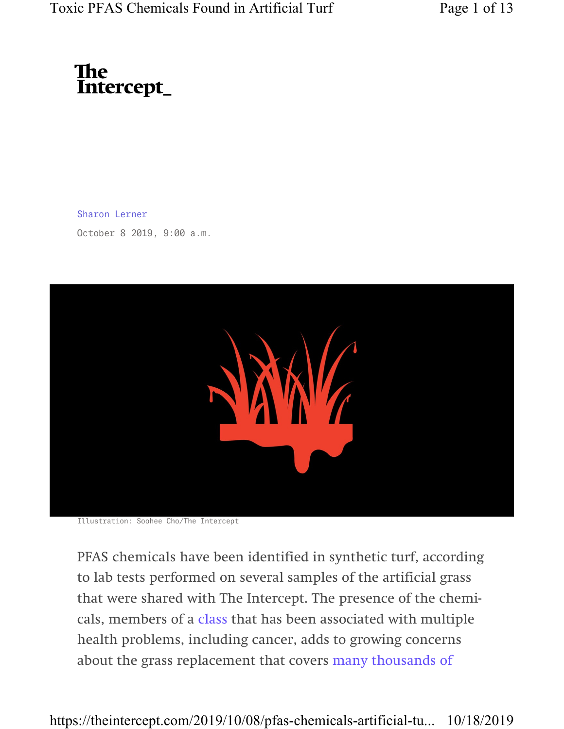# The<br>Intercept\_

Sharon Lerner

October 8 2019, 9:00 a.m.



Illustration: Soohee Cho/The Intercept

PFAS chemicals have been identified in synthetic turf, according to lab tests performed on several samples of the artificial grass that were shared with The Intercept. The presence of the chemicals, members of a class that has been associated with multiple health problems, including cancer, adds to growing concerns about the grass replacement that covers many thousands of

https://theintercept.com/2019/10/08/pfas-chemicals-artificial-tu... 10/18/2019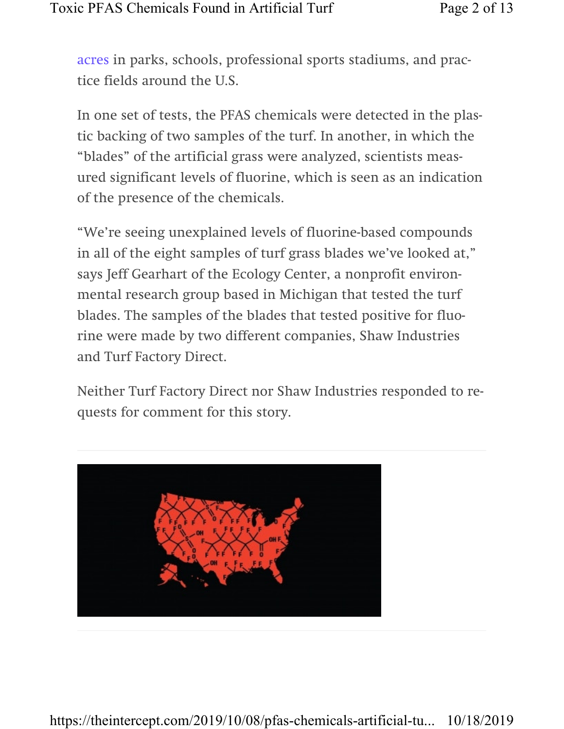acres in parks, schools, professional sports stadiums, and practice fields around the U.S.

In one set of tests, the PFAS chemicals were detected in the plastic backing of two samples of the turf. In another, in which the "blades" of the artificial grass were analyzed, scientists measured significant levels of fluorine, which is seen as an indication of the presence of the chemicals.

"We're seeing unexplained levels of fluorine-based compounds in all of the eight samples of turf grass blades we've looked at," says Jeff Gearhart of the Ecology Center, a nonprofit environmental research group based in Michigan that tested the turf blades. The samples of the blades that tested positive for fluorine were made by two different companies, Shaw Industries and Turf Factory Direct.

Neither Turf Factory Direct nor Shaw Industries responded to requests for comment for this story.

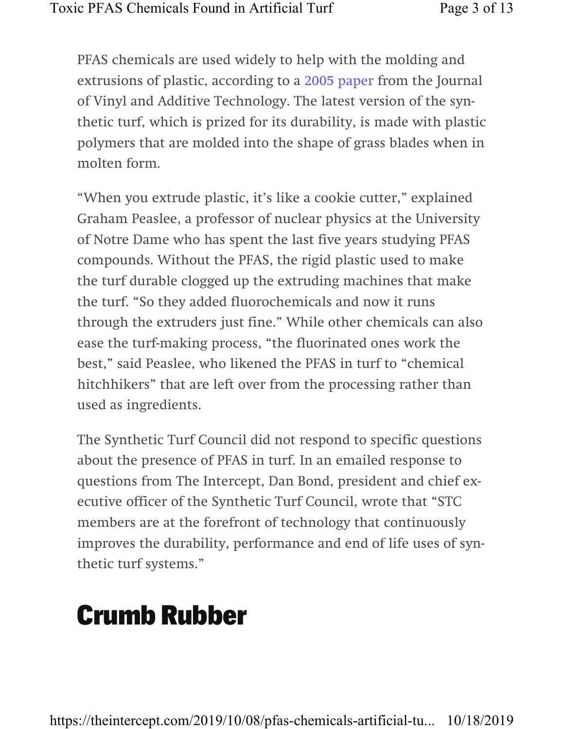PFAS chemicals are used widely to help with the molding and extrusions of plastic, according to a 2005 paper from the Journal of Vinyl and Additive Technology. The latest version of the synthetic turf, which is prized for its durability, is made with plastic polymers that are molded into the shape of grass blades when in molten form.

"When you extrude plastic, it's like a cookie cutter," explained Graham Peaslee, a professor of nuclear physics at the University of Notre Dame who has spent the last five years studying PFAS compounds. Without the PFAS, the rigid plastic used to make the turf durable clogged up the extruding machines that make the turf. "So they added fluorochemicals and now it runs through the extruders just fine." While other chemicals can also ease the turf-making process, "the fluorinated ones work the best," said Peaslee, who likened the PFAS in turf to "chemical hitchhikers" that are left over from the processing rather than used as ingredients.

The Synthetic Turf Council did not respond to specific questions about the presence of PFAS in turf. In an emailed response to questions from The Intercept, Dan Bond, president and chief executive officer of the Synthetic Turf Council, wrote that "STC members are at the forefront of technology that continuously improves the durability, performance and end of life uses of synthetic turf systems."

### Crumb Rubber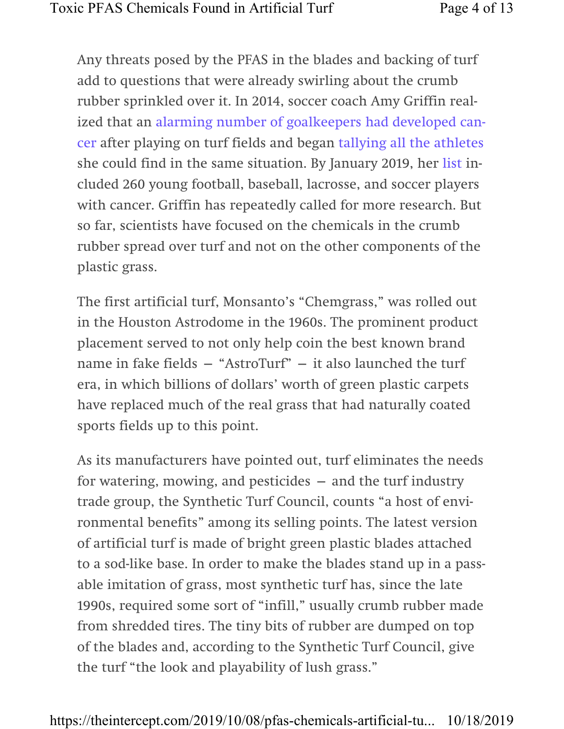Any threats posed by the PFAS in the blades and backing of turf add to questions that were already swirling about the crumb rubber sprinkled over it. In 2014, soccer coach Amy Griffin realized that an alarming number of goalkeepers had developed cancer after playing on turf fields and began tallying all the athletes she could find in the same situation. By January 2019, her list included 260 young football, baseball, lacrosse, and soccer players with cancer. Griffin has repeatedly called for more research. But so far, scientists have focused on the chemicals in the crumb rubber spread over turf and not on the other components of the plastic grass.

The first artificial turf, Monsanto's "Chemgrass," was rolled out in the Houston Astrodome in the 1960s. The prominent product placement served to not only help coin the best known brand name in fake fields — "AstroTurf" — it also launched the turf era, in which billions of dollars' worth of green plastic carpets have replaced much of the real grass that had naturally coated sports fields up to this point.

As its manufacturers have pointed out, turf eliminates the needs for watering, mowing, and pesticides  $-$  and the turf industry trade group, the Synthetic Turf Council, counts "a host of environmental benefits" among its selling points. The latest version of artificial turf is made of bright green plastic blades attached to a sod-like base. In order to make the blades stand up in a passable imitation of grass, most synthetic turf has, since the late 1990s, required some sort of "infill," usually crumb rubber made from shredded tires. The tiny bits of rubber are dumped on top of the blades and, according to the Synthetic Turf Council, give the turf "the look and playability of lush grass."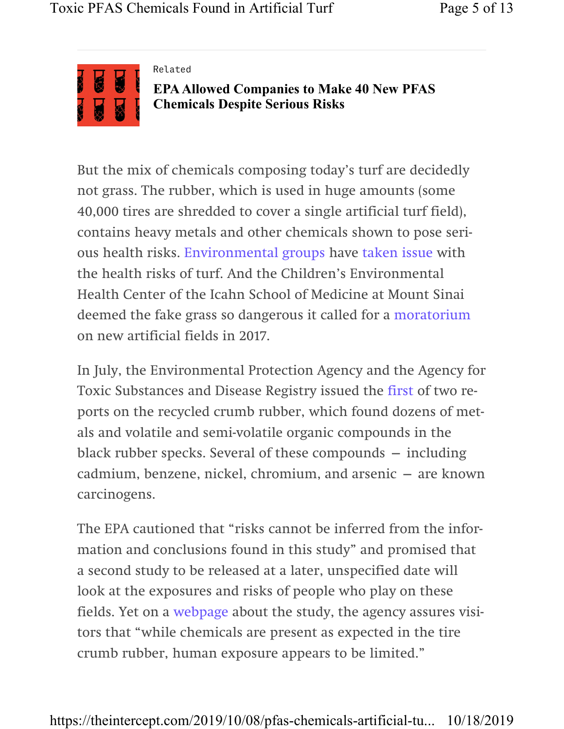

#### Related

EPA Allowed Companies to Make 40 New PFAS Chemicals Despite Serious Risks

But the mix of chemicals composing today's turf are decidedly not grass. The rubber, which is used in huge amounts (some 40,000 tires are shredded to cover a single artificial turf field), contains heavy metals and other chemicals shown to pose serious health risks. Environmental groups have taken issue with the health risks of turf. And the Children's Environmental Health Center of the Icahn School of Medicine at Mount Sinai deemed the fake grass so dangerous it called for a moratorium on new artificial fields in 2017.

In July, the Environmental Protection Agency and the Agency for Toxic Substances and Disease Registry issued the first of two reports on the recycled crumb rubber, which found dozens of metals and volatile and semi-volatile organic compounds in the black rubber specks. Several of these compounds — including cadmium, benzene, nickel, chromium, and arsenic — are known carcinogens.

The EPA cautioned that "risks cannot be inferred from the information and conclusions found in this study" and promised that a second study to be released at a later, unspecified date will look at the exposures and risks of people who play on these fields. Yet on a webpage about the study, the agency assures visitors that "while chemicals are present as expected in the tire crumb rubber, human exposure appears to be limited."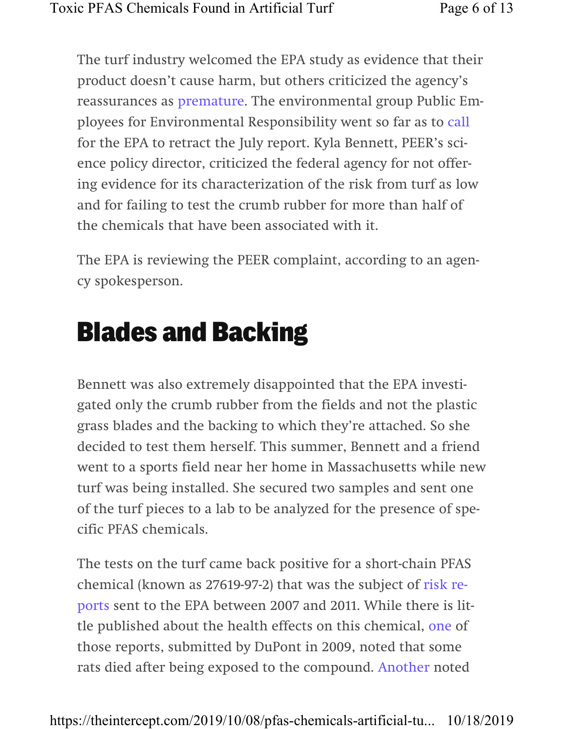The turf industry welcomed the EPA study as evidence that their product doesn't cause harm, but others criticized the agency's reassurances as premature. The environmental group Public Employees for Environmental Responsibility went so far as to call for the EPA to retract the July report. Kyla Bennett, PEER's science policy director, criticized the federal agency for not offering evidence for its characterization of the risk from turf as low and for failing to test the crumb rubber for more than half of the chemicals that have been associated with it.

The EPA is reviewing the PEER complaint, according to an agency spokesperson.

## Blades and Backing

Bennett was also extremely disappointed that the EPA investigated only the crumb rubber from the fields and not the plastic grass blades and the backing to which they're attached. So she decided to test them herself. This summer, Bennett and a friend went to a sports field near her home in Massachusetts while new turf was being installed. She secured two samples and sent one of the turf pieces to a lab to be analyzed for the presence of specific PFAS chemicals.

The tests on the turf came back positive for a short-chain PFAS chemical (known as 27619-97-2) that was the subject of risk reports sent to the EPA between 2007 and 2011. While there is little published about the health effects on this chemical, one of those reports, submitted by DuPont in 2009, noted that some rats died after being exposed to the compound. Another noted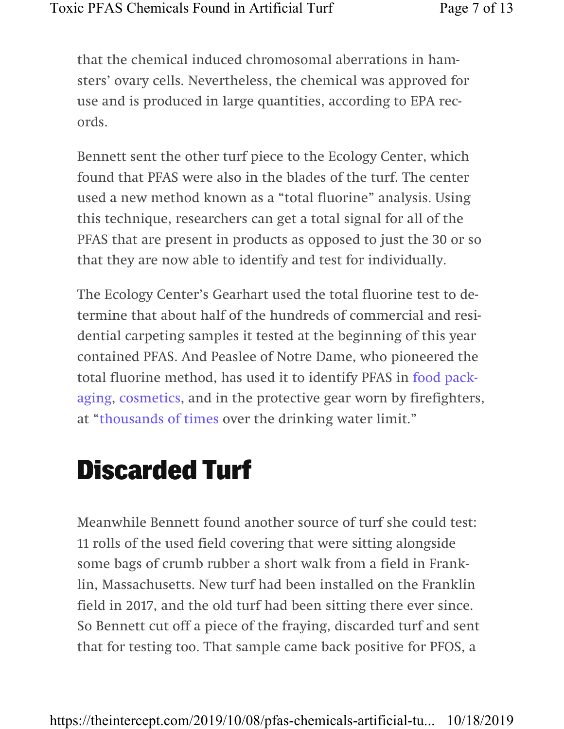that the chemical induced chromosomal aberrations in hamsters' ovary cells. Nevertheless, the chemical was approved for use and is produced in large quantities, according to EPA records.

Bennett sent the other turf piece to the Ecology Center, which found that PFAS were also in the blades of the turf. The center used a new method known as a "total fluorine" analysis. Using this technique, researchers can get a total signal for all of the PFAS that are present in products as opposed to just the 30 or so that they are now able to identify and test for individually.

The Ecology Center's Gearhart used the total fluorine test to determine that about half of the hundreds of commercial and residential carpeting samples it tested at the beginning of this year contained PFAS. And Peaslee of Notre Dame, who pioneered the total fluorine method, has used it to identify PFAS in food packaging, cosmetics, and in the protective gear worn by firefighters, at "thousands of times over the drinking water limit."

### Discarded Turf

Meanwhile Bennett found another source of turf she could test: 11 rolls of the used field covering that were sitting alongside some bags of crumb rubber a short walk from a field in Franklin, Massachusetts. New turf had been installed on the Franklin field in 2017, and the old turf had been sitting there ever since. So Bennett cut off a piece of the fraying, discarded turf and sent that for testing too. That sample came back positive for PFOS, a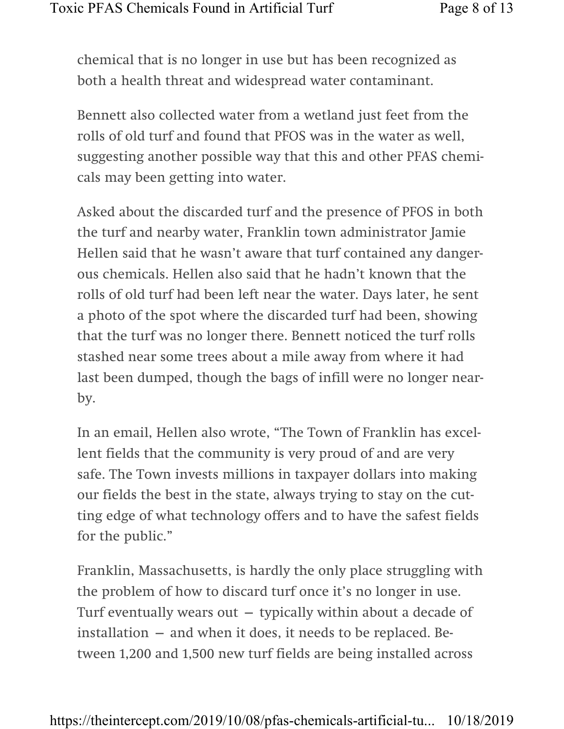chemical that is no longer in use but has been recognized as both a health threat and widespread water contaminant.

Bennett also collected water from a wetland just feet from the rolls of old turf and found that PFOS was in the water as well, suggesting another possible way that this and other PFAS chemicals may been getting into water.

Asked about the discarded turf and the presence of PFOS in both the turf and nearby water, Franklin town administrator Jamie Hellen said that he wasn't aware that turf contained any dangerous chemicals. Hellen also said that he hadn't known that the rolls of old turf had been left near the water. Days later, he sent a photo of the spot where the discarded turf had been, showing that the turf was no longer there. Bennett noticed the turf rolls stashed near some trees about a mile away from where it had last been dumped, though the bags of infill were no longer nearby.

In an email, Hellen also wrote, "The Town of Franklin has excellent fields that the community is very proud of and are very safe. The Town invests millions in taxpayer dollars into making our fields the best in the state, always trying to stay on the cutting edge of what technology offers and to have the safest fields for the public."

Franklin, Massachusetts, is hardly the only place struggling with the problem of how to discard turf once it's no longer in use. Turf eventually wears out  $-$  typically within about a decade of installation — and when it does, it needs to be replaced. Between 1,200 and 1,500 new turf fields are being installed across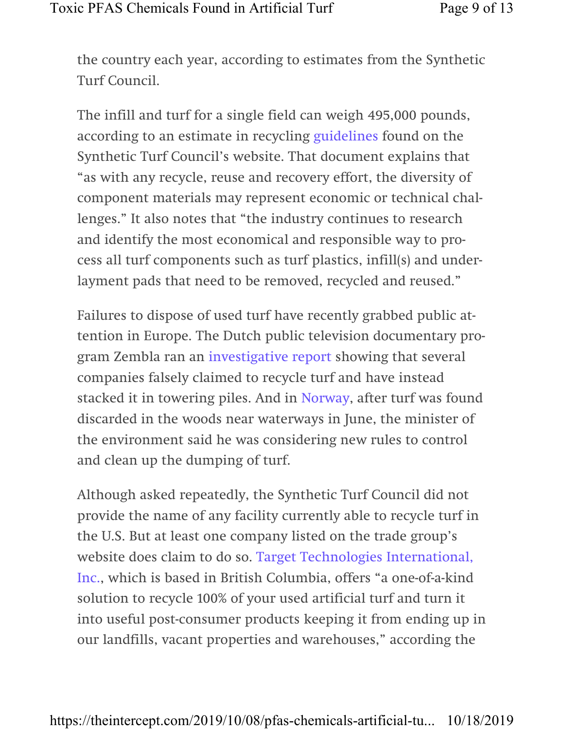the country each year, according to estimates from the Synthetic Turf Council.

The infill and turf for a single field can weigh 495,000 pounds, according to an estimate in recycling guidelines found on the Synthetic Turf Council's website. That document explains that "as with any recycle, reuse and recovery effort, the diversity of component materials may represent economic or technical challenges." It also notes that "the industry continues to research and identify the most economical and responsible way to process all turf components such as turf plastics, infill(s) and underlayment pads that need to be removed, recycled and reused."

Failures to dispose of used turf have recently grabbed public attention in Europe. The Dutch public television documentary program Zembla ran an investigative report showing that several companies falsely claimed to recycle turf and have instead stacked it in towering piles. And in Norway, after turf was found discarded in the woods near waterways in June, the minister of the environment said he was considering new rules to control and clean up the dumping of turf.

Although asked repeatedly, the Synthetic Turf Council did not provide the name of any facility currently able to recycle turf in the U.S. But at least one company listed on the trade group's website does claim to do so. Target Technologies International, Inc., which is based in British Columbia, offers "a one-of-a-kind solution to recycle 100% of your used artificial turf and turn it into useful post-consumer products keeping it from ending up in our landfills, vacant properties and warehouses," according the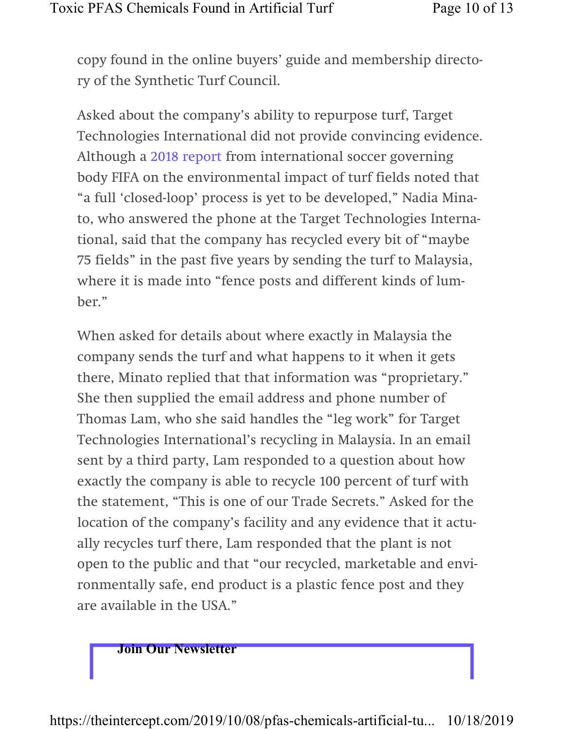copy found in the online buyers' guide and membership directory of the Synthetic Turf Council.

Asked about the company's ability to repurpose turf, Target Technologies International did not provide convincing evidence. Although a 2018 report from international soccer governing body FIFA on the environmental impact of turf fields noted that "a full 'closed-loop' process is yet to be developed," Nadia Minato, who answered the phone at the Target Technologies International, said that the company has recycled every bit of "maybe 75 fields" in the past five years by sending the turf to Malaysia, where it is made into "fence posts and different kinds of lumber."

When asked for details about where exactly in Malaysia the company sends the turf and what happens to it when it gets there, Minato replied that that information was "proprietary." She then supplied the email address and phone number of Thomas Lam, who she said handles the "leg work" for Target Technologies International's recycling in Malaysia. In an email sent by a third party, Lam responded to a question about how exactly the company is able to recycle 100 percent of turf with the statement, "This is one of our Trade Secrets." Asked for the location of the company's facility and any evidence that it actually recycles turf there, Lam responded that the plant is not open to the public and that "our recycled, marketable and environmentally safe, end product is a plastic fence post and they are available in the USA."

Join Our Newsletter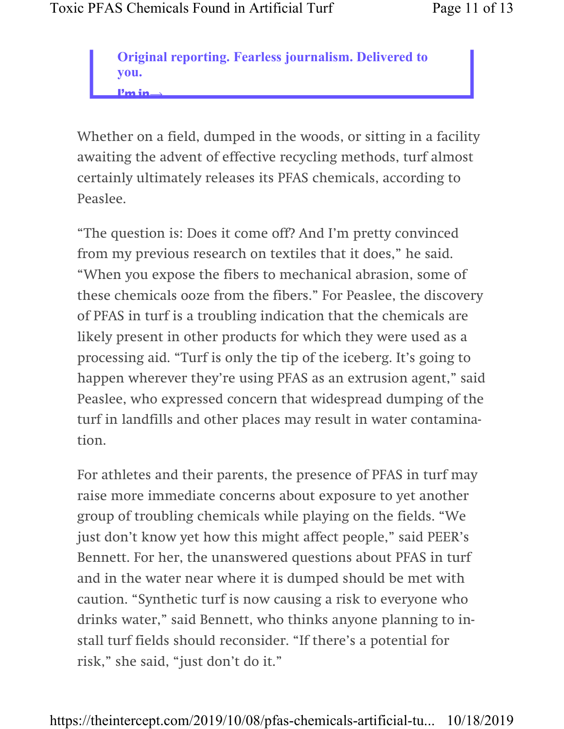Original reporting. Fearless journalism. Delivered to you. I'm in⟶

Whether on a field, dumped in the woods, or sitting in a facility awaiting the advent of effective recycling methods, turf almost certainly ultimately releases its PFAS chemicals, according to Peaslee.

"The question is: Does it come off? And I'm pretty convinced from my previous research on textiles that it does," he said. "When you expose the fibers to mechanical abrasion, some of these chemicals ooze from the fibers." For Peaslee, the discovery of PFAS in turf is a troubling indication that the chemicals are likely present in other products for which they were used as a processing aid. "Turf is only the tip of the iceberg. It's going to happen wherever they're using PFAS as an extrusion agent," said Peaslee, who expressed concern that widespread dumping of the turf in landfills and other places may result in water contamination.

For athletes and their parents, the presence of PFAS in turf may raise more immediate concerns about exposure to yet another group of troubling chemicals while playing on the fields. "We just don't know yet how this might affect people," said PEER's Bennett. For her, the unanswered questions about PFAS in turf and in the water near where it is dumped should be met with caution. "Synthetic turf is now causing a risk to everyone who drinks water," said Bennett, who thinks anyone planning to install turf fields should reconsider. "If there's a potential for risk," she said, "just don't do it."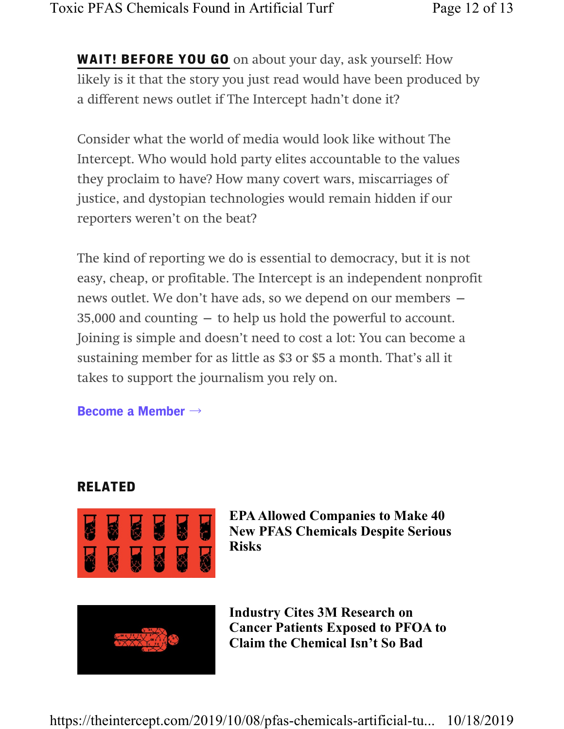**WAIT! BEFORE YOU GO** on about your day, ask yourself: How likely is it that the story you just read would have been produced by a different news outlet if The Intercept hadn't done it?

Consider what the world of media would look like without The Intercept. Who would hold party elites accountable to the values they proclaim to have? How many covert wars, miscarriages of justice, and dystopian technologies would remain hidden if our reporters weren't on the beat?

The kind of reporting we do is essential to democracy, but it is not easy, cheap, or profitable. The Intercept is an independent nonprofit news outlet. We don't have ads, so we depend on our members — 35,000 and counting — to help us hold the powerful to account. Joining is simple and doesn't need to cost a lot: You can become a sustaining member for as little as \$3 or \$5 a month. That's all it takes to support the journalism you rely on.

#### Become a Member  $\rightarrow$

#### RELATED



EPA Allowed Companies to Make 40 New PFAS Chemicals Despite Serious Risks



Industry Cites 3M Research on Cancer Patients Exposed to PFOA to Claim the Chemical Isn't So Bad